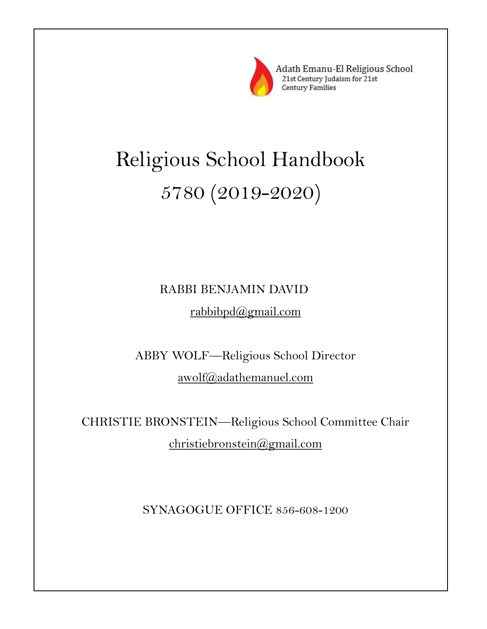

Adath Emanu-El Religious School 21st Century Judaism for 21st **Century Families** 

# Religious School Handbook 5780 (2019-2020)

# RABBI BENJAMIN DAVID rabbibpd@gmail.com

ABBY WOLF—Religious School Director awolf@adathemanuel.com

CHRISTIE BRONSTEIN—Religious School Committee Chair christiebronstein@gmail.com

SYNAGOGUE OFFICE 856-608-1200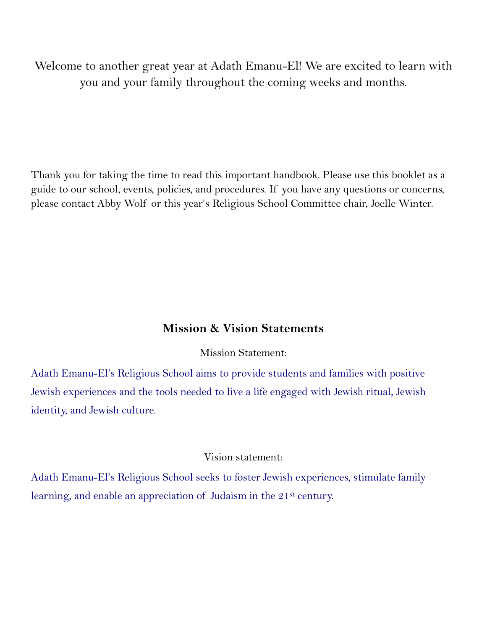Welcome to another great year at Adath Emanu-El! We are excited to learn with you and your family throughout the coming weeks and months.

Thank you for taking the time to read this important handbook. Please use this booklet as a guide to our school, events, policies, and procedures. If you have any questions or concerns, please contact Abby Wolf or this year's Religious School Committee chair, Joelle Winter.

### **Mission & Vision Statements**

Mission Statement:

Adath Emanu-El's Religious School aims to provide students and families with positive Jewish experiences and the tools needed to live a life engaged with Jewish ritual, Jewish identity, and Jewish culture.

### Vision statement:

Adath Emanu-El's Religious School seeks to foster Jewish experiences, stimulate family learning, and enable an appreciation of Judaism in the 21<sup>st</sup> century.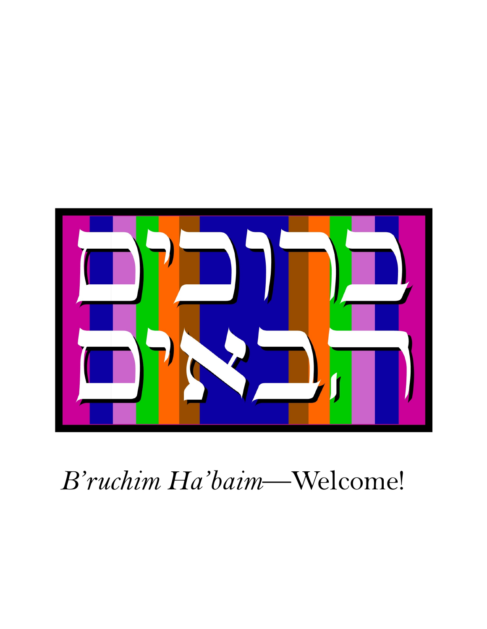

# *B'ruchim Ha'baim*—Welcome!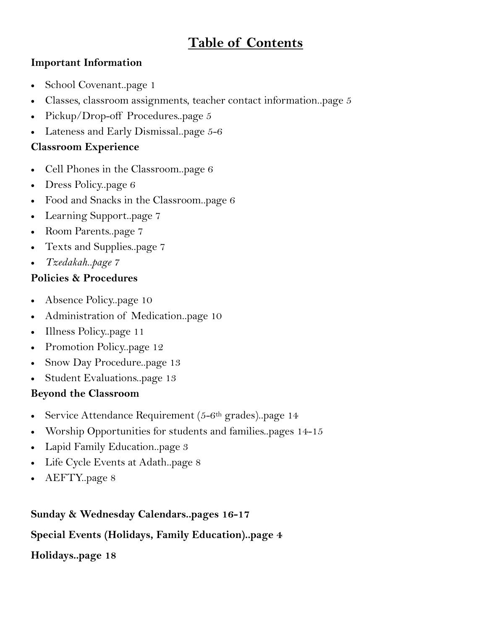# **Table of Contents**

### **Important Information**

- School Covenant..page 1
- Classes, classroom assignments, teacher contact information..page 5
- Pickup/Drop-off Procedures..page 5
- Lateness and Early Dismissal..page 5-6

### **Classroom Experience**

- Cell Phones in the Classroom..page 6
- Dress Policy..page 6
- Food and Snacks in the Classroom..page 6
- Learning Support..page 7
- Room Parents..page 7
- Texts and Supplies..page 7
- *Tzedakah..page 7*

### **Policies & Procedures**

- Absence Policy..page 10
- Administration of Medication..page 10
- Illness Policy..page 11
- Promotion Policy..page 12
- Snow Day Procedure..page 13
- Student Evaluations..page 13

### **Beyond the Classroom**

- Service Attendance Requirement  $(5-6<sup>th</sup>$  grades)..page 14
- Worship Opportunities for students and families..pages 14-15
- Lapid Family Education..page 3
- Life Cycle Events at Adath..page 8
- AEFTY..page 8

### **Sunday & Wednesday Calendars..pages 16-17**

### **Special Events (Holidays, Family Education)..page 4**

### **Holidays..page 18**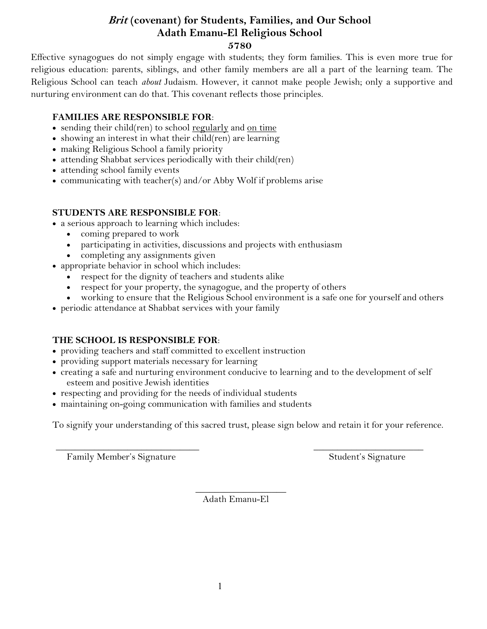### **Brit (covenant) for Students, Families, and Our School Adath Emanu-El Religious School 5780**

Effective synagogues do not simply engage with students; they form families. This is even more true for religious education: parents, siblings, and other family members are all a part of the learning team. The Religious School can teach *about* Judaism. However, it cannot make people Jewish; only a supportive and nurturing environment can do that. This covenant reflects those principles.

### **FAMILIES ARE RESPONSIBLE FOR**:

- sending their child(ren) to school regularly and on time
- showing an interest in what their child(ren) are learning
- making Religious School a family priority
- attending Shabbat services periodically with their child(ren)
- attending school family events
- communicating with teacher(s) and/or Abby Wolf if problems arise

### **STUDENTS ARE RESPONSIBLE FOR**:

- a serious approach to learning which includes:
	- coming prepared to work
	- participating in activities, discussions and projects with enthusiasm
	- completing any assignments given
- appropriate behavior in school which includes:
	- respect for the dignity of teachers and students alike
	- respect for your property, the synagogue, and the property of others
	- working to ensure that the Religious School environment is a safe one for yourself and others
- periodic attendance at Shabbat services with your family

### **THE SCHOOL IS RESPONSIBLE FOR**:

- providing teachers and staff committed to excellent instruction
- providing support materials necessary for learning
- creating a safe and nurturing environment conducive to learning and to the development of self esteem and positive Jewish identities
- respecting and providing for the needs of individual students
- maintaining on-going communication with families and students

To signify your understanding of this sacred trust, please sign below and retain it for your reference.

Family Member's Signature Student's Signature Student's Signature

\_\_\_\_\_\_\_\_\_\_\_\_\_\_\_\_\_\_\_\_\_\_\_\_\_\_\_\_\_\_ \_\_\_\_\_\_\_\_\_\_\_\_\_\_\_\_\_\_\_\_\_\_\_

\_\_\_\_\_\_\_\_\_\_\_\_\_\_\_\_\_\_\_ Adath Emanu-El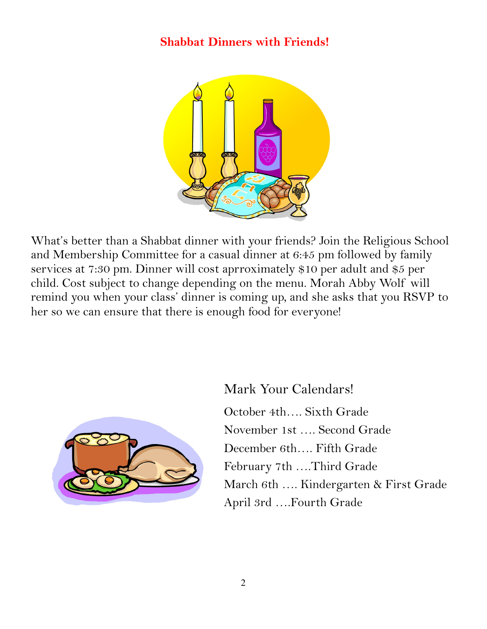## **Shabbat Dinners with Friends!**



What's better than a Shabbat dinner with your friends? Join the Religious School and Membership Committee for a casual dinner at 6:45 pm followed by family services at 7:30 pm. Dinner will cost aprroximately \$10 per adult and \$5 per child. Cost subject to change depending on the menu. Morah Abby Wolf will remind you when your class' dinner is coming up, and she asks that you RSVP to her so we can ensure that there is enough food for everyone!



Mark Your Calendars! October 4th…. Sixth Grade November 1st …. Second Grade December 6th…. Fifth Grade February 7th ….Third Grade March 6th …. Kindergarten & First Grade April 3rd ….Fourth Grade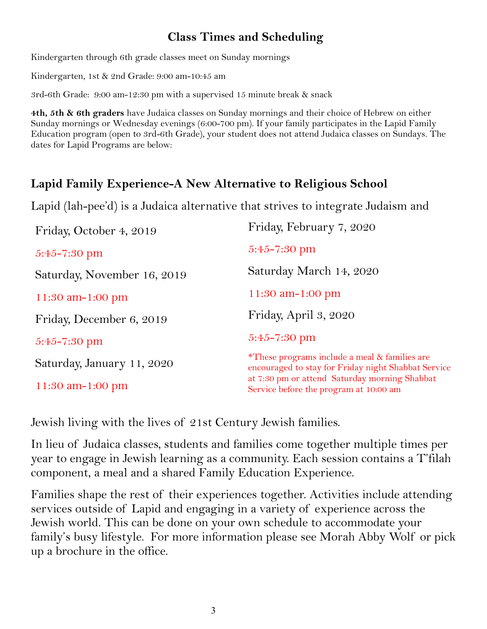# **Class Times and Scheduling**

Kindergarten through 6th grade classes meet on Sunday mornings

Kindergarten, 1st & 2nd Grade: 9:00 am-10:45 am

3rd-6th Grade: 9:00 am-12:30 pm with a supervised 15 minute break & snack

**4th, 5th & 6th graders** have Judaica classes on Sunday mornings and their choice of Hebrew on either Sunday mornings or Wednesday evenings (6:00-700 pm). If your family participates in the Lapid Family Education program (open to 3rd-6th Grade), your student does not attend Judaica classes on Sundays. The dates for Lapid Programs are below:

# **Lapid Family Experience-A New Alternative to Religious School**

Lapid (lah-pee'd) is a Judaica alternative that strives to integrate Judaism and

| Friday, October 4, 2019     | Friday, February 7, 2020                                                                                        |
|-----------------------------|-----------------------------------------------------------------------------------------------------------------|
| $5:45 - 7:30$ pm            | $5:45 - 7:30$ pm                                                                                                |
| Saturday, November 16, 2019 | Saturday March 14, 2020                                                                                         |
| 11:30 am-1:00 pm            | 11:30 am-1:00 pm                                                                                                |
| Friday, December 6, 2019    | Friday, April 3, 2020                                                                                           |
| $5:45 - 7:30 \text{ pm}$    | $5:45 - 7:30$ pm                                                                                                |
| Saturday, January 11, 2020  | <i>*These programs include a meal &amp; families are</i><br>encouraged to stay for Friday night Shabbat Service |
| 11:30 am-1:00 pm            | at 7:30 pm or attend Saturday morning Shabbat<br>Service before the program at 10:00 am                         |

Jewish living with the lives of 21st Century Jewish families.

In lieu of Judaica classes, students and families come together multiple times per year to engage in Jewish learning as a community. Each session contains a T'filah component, a meal and a shared Family Education Experience.

Families shape the rest of their experiences together. Activities include attending services outside of Lapid and engaging in a variety of experience across the Jewish world. This can be done on your own schedule to accommodate your family's busy lifestyle. For more information please see Morah Abby Wolf or pick up a brochure in the office.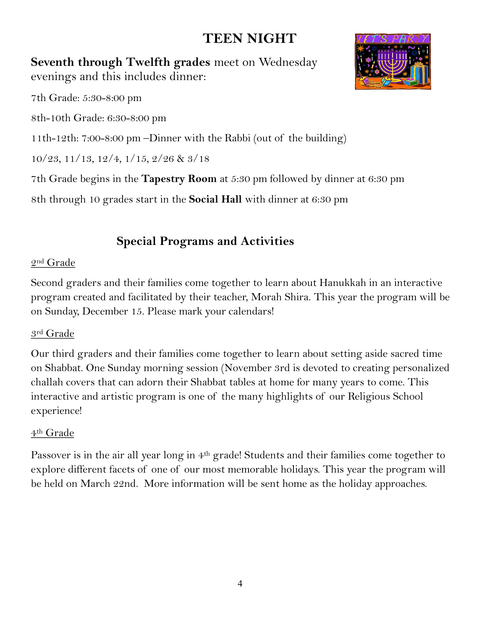# **TEEN NIGHT**

**Seventh through Twelfth grades** meet on Wednesday evenings and this includes dinner:



7th Grade: 5:30-8:00 pm

8th-10th Grade: 6:30-8:00 pm

11th-12th: 7:00-8:00 pm –Dinner with the Rabbi (out of the building)

10/23, 11/13, 12/4, 1/15, 2/26 & 3/18

7th Grade begins in the **Tapestry Room** at 5:30 pm followed by dinner at 6:30 pm

8th through 10 grades start in the **Social Hall** with dinner at 6:30 pm

# **Special Programs and Activities**

### 2nd Grade

Second graders and their families come together to learn about Hanukkah in an interactive program created and facilitated by their teacher, Morah Shira. This year the program will be on Sunday, December 15. Please mark your calendars!

## 3rd Grade

Our third graders and their families come together to learn about setting aside sacred time on Shabbat. One Sunday morning session (November 3rd is devoted to creating personalized challah covers that can adorn their Shabbat tables at home for many years to come. This interactive and artistic program is one of the many highlights of our Religious School experience!

## 4th Grade

Passover is in the air all year long in 4th grade! Students and their families come together to explore different facets of one of our most memorable holidays. This year the program will be held on March 22nd. More information will be sent home as the holiday approaches.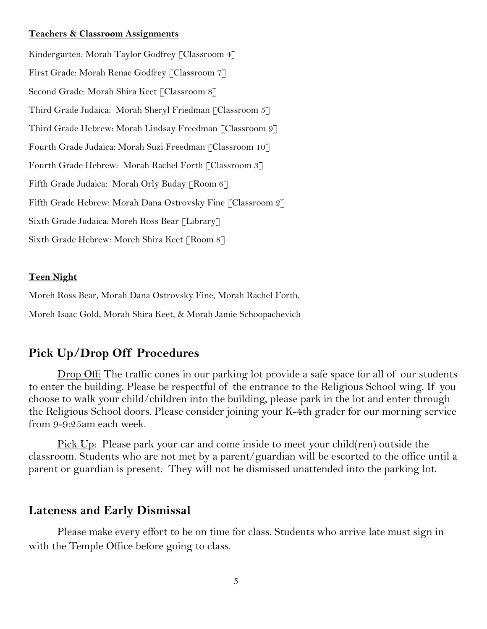#### **Teachers & Classroom Assignments**

Kindergarten: Morah Taylor Godfrey [Classroom 4] First Grade: Morah Renae Godfrey [Classroom 7] Second Grade: Morah Shira Keet [Classroom 8] Third Grade Judaica: Morah Sheryl Friedman [Classroom 5] Third Grade Hebrew: Morah Lindsay Freedman [Classroom 9] Fourth Grade Judaica: Morah Suzi Freedman [Classroom 10] Fourth Grade Hebrew: Morah Rachel Forth [Classroom 3] Fifth Grade Judaica: Morah Orly Buday [Room 6] Fifth Grade Hebrew: Morah Dana Ostrovsky Fine [Classroom 2] Sixth Grade Judaica: Moreh Ross Bear [Library] Sixth Grade Hebrew: Moreh Shira Keet [Room 8]

#### **Teen Night**

Moreh Ross Bear, Morah Dana Ostrovsky Fine, Morah Rachel Forth,

Moreh Isaac Gold, Morah Shira Keet, & Morah Jamie Schoopachevich

### **Pick Up/Drop Off Procedures**

Drop Off: The traffic cones in our parking lot provide a safe space for all of our students to enter the building. Please be respectful of the entrance to the Religious School wing. If you choose to walk your child/children into the building, please park in the lot and enter through the Religious School doors. Please consider joining your K-4th grader for our morning service from 9-9:25am each week.

Pick Up: Please park your car and come inside to meet your child(ren) outside the classroom. Students who are not met by a parent/guardian will be escorted to the office until a parent or guardian is present. They will not be dismissed unattended into the parking lot.

### **Lateness and Early Dismissal**

Please make every effort to be on time for class. Students who arrive late must sign in with the Temple Office before going to class.

5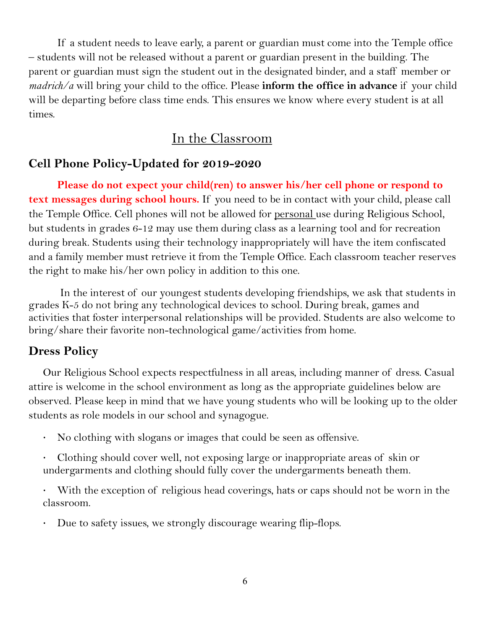If a student needs to leave early, a parent or guardian must come into the Temple office – students will not be released without a parent or guardian present in the building. The parent or guardian must sign the student out in the designated binder, and a staff member or *madrich/a* will bring your child to the office. Please **inform the office in advance** if your child will be departing before class time ends. This ensures we know where every student is at all times.

# In the Classroom

### **Cell Phone Policy-Updated for 2019-2020**

**Please do not expect your child(ren) to answer his/her cell phone or respond to text messages during school hours.** If you need to be in contact with your child, please call the Temple Office. Cell phones will not be allowed for <u>personal</u> use during Religious School, but students in grades 6-12 may use them during class as a learning tool and for recreation during break. Students using their technology inappropriately will have the item confiscated and a family member must retrieve it from the Temple Office. Each classroom teacher reserves the right to make his/her own policy in addition to this one.

In the interest of our youngest students developing friendships, we ask that students in grades K-5 do not bring any technological devices to school. During break, games and activities that foster interpersonal relationships will be provided. Students are also welcome to bring/share their favorite non-technological game/activities from home.

### **Dress Policy**

Our Religious School expects respectfulness in all areas, including manner of dress. Casual attire is welcome in the school environment as long as the appropriate guidelines below are observed. Please keep in mind that we have young students who will be looking up to the older students as role models in our school and synagogue.

· No clothing with slogans or images that could be seen as offensive.

· Clothing should cover well, not exposing large or inappropriate areas of skin or undergarments and clothing should fully cover the undergarments beneath them.

With the exception of religious head coverings, hats or caps should not be worn in the classroom.

Due to safety issues, we strongly discourage wearing flip-flops.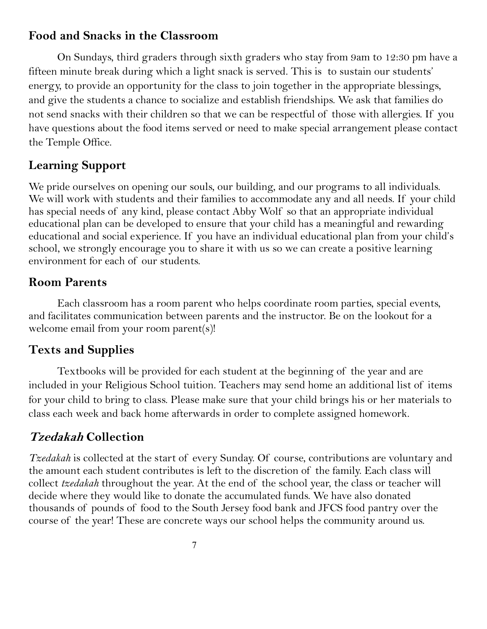### **Food and Snacks in the Classroom**

On Sundays, third graders through sixth graders who stay from 9am to 12:30 pm have a fifteen minute break during which a light snack is served. This is to sustain our students' energy, to provide an opportunity for the class to join together in the appropriate blessings, and give the students a chance to socialize and establish friendships. We ask that families do not send snacks with their children so that we can be respectful of those with allergies. If you have questions about the food items served or need to make special arrangement please contact the Temple Office.

# **Learning Support**

We pride ourselves on opening our souls, our building, and our programs to all individuals. We will work with students and their families to accommodate any and all needs. If your child has special needs of any kind, please contact Abby Wolf so that an appropriate individual educational plan can be developed to ensure that your child has a meaningful and rewarding educational and social experience. If you have an individual educational plan from your child's school, we strongly encourage you to share it with us so we can create a positive learning environment for each of our students.

## **Room Parents**

Each classroom has a room parent who helps coordinate room parties, special events, and facilitates communication between parents and the instructor. Be on the lookout for a welcome email from your room parent(s)!

## **Texts and Supplies**

Textbooks will be provided for each student at the beginning of the year and are included in your Religious School tuition. Teachers may send home an additional list of items for your child to bring to class. Please make sure that your child brings his or her materials to class each week and back home afterwards in order to complete assigned homework.

# **Tzedakah Collection**

*Tzedakah* is collected at the start of every Sunday. Of course, contributions are voluntary and the amount each student contributes is left to the discretion of the family. Each class will collect *tzedakah* throughout the year. At the end of the school year, the class or teacher will decide where they would like to donate the accumulated funds. We have also donated thousands of pounds of food to the South Jersey food bank and JFCS food pantry over the course of the year! These are concrete ways our school helps the community around us.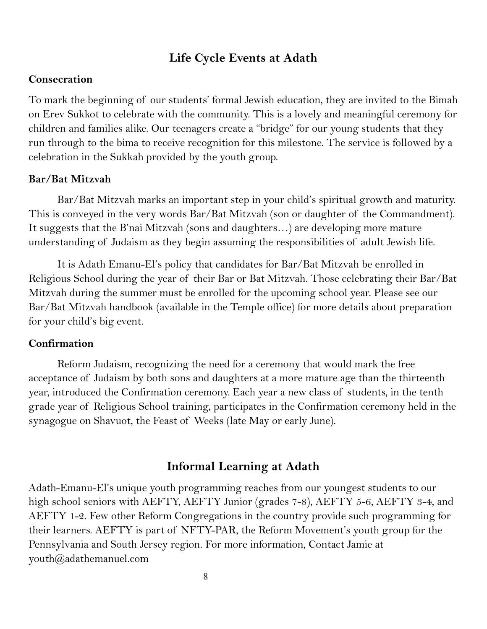### **Life Cycle Events at Adath**

#### **Consecration**

To mark the beginning of our students' formal Jewish education, they are invited to the Bimah on Erev Sukkot to celebrate with the community. This is a lovely and meaningful ceremony for children and families alike. Our teenagers create a "bridge" for our young students that they run through to the bima to receive recognition for this milestone. The service is followed by a celebration in the Sukkah provided by the youth group.

#### **Bar/Bat Mitzvah**

Bar/Bat Mitzvah marks an important step in your child's spiritual growth and maturity. This is conveyed in the very words Bar/Bat Mitzvah (son or daughter of the Commandment). It suggests that the B'nai Mitzvah (sons and daughters…) are developing more mature understanding of Judaism as they begin assuming the responsibilities of adult Jewish life.

It is Adath Emanu-El's policy that candidates for Bar/Bat Mitzvah be enrolled in Religious School during the year of their Bar or Bat Mitzvah. Those celebrating their Bar/Bat Mitzvah during the summer must be enrolled for the upcoming school year. Please see our Bar/Bat Mitzvah handbook (available in the Temple office) for more details about preparation for your child's big event.

#### **Confirmation**

Reform Judaism, recognizing the need for a ceremony that would mark the free acceptance of Judaism by both sons and daughters at a more mature age than the thirteenth year, introduced the Confirmation ceremony. Each year a new class of students, in the tenth grade year of Religious School training, participates in the Confirmation ceremony held in the synagogue on Shavuot, the Feast of Weeks (late May or early June).

### **Informal Learning at Adath**

Adath-Emanu-El's unique youth programming reaches from our youngest students to our high school seniors with AEFTY, AEFTY Junior (grades 7-8), AEFTY 5-6, AEFTY 3-4, and AEFTY 1-2. Few other Reform Congregations in the country provide such programming for their learners. AEFTY is part of NFTY-PAR, the Reform Movement's youth group for the Pennsylvania and South Jersey region. For more information, Contact Jamie at youth@adathemanuel.com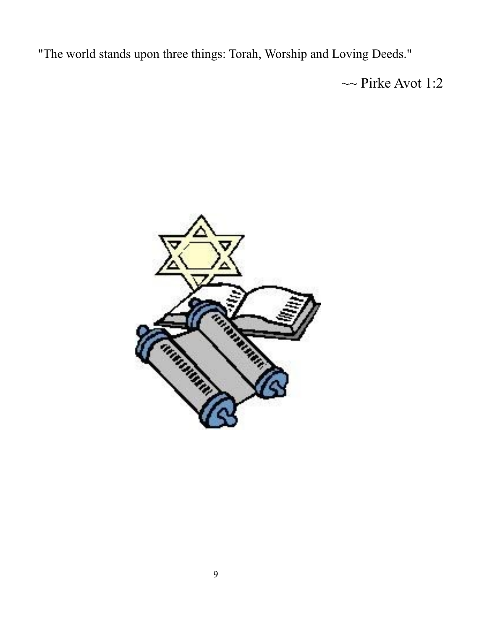"The world stands upon three things: Torah, Worship and Loving Deeds."

 $\sim$  Pirke Avot 1:2

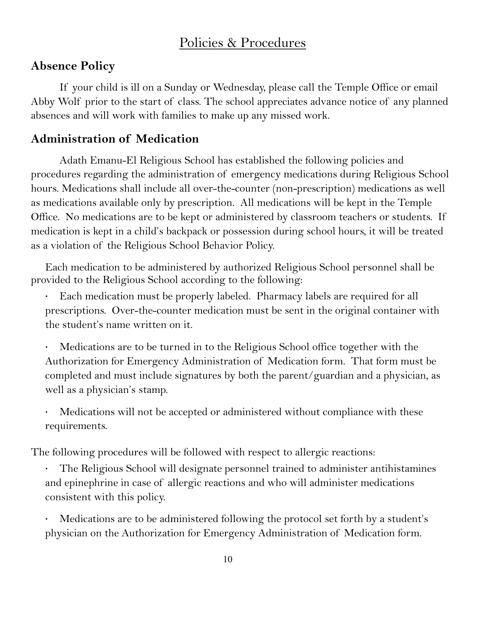# Policies & Procedures

### **Absence Policy**

If your child is ill on a Sunday or Wednesday, please call the Temple Office or email Abby Wolf prior to the start of class. The school appreciates advance notice of any planned absences and will work with families to make up any missed work.

### **Administration of Medication**

Adath Emanu-El Religious School has established the following policies and procedures regarding the administration of emergency medications during Religious School hours. Medications shall include all over-the-counter (non-prescription) medications as well as medications available only by prescription. All medications will be kept in the Temple Office. No medications are to be kept or administered by classroom teachers or students. If medication is kept in a child's backpack or possession during school hours, it will be treated as a violation of the Religious School Behavior Policy.

Each medication to be administered by authorized Religious School personnel shall be provided to the Religious School according to the following:

Each medication must be properly labeled. Pharmacy labels are required for all prescriptions. Over-the-counter medication must be sent in the original container with the student's name written on it.

- Medications are to be turned in to the Religious School office together with the Authorization for Emergency Administration of Medication form. That form must be completed and must include signatures by both the parent/guardian and a physician, as well as a physician's stamp.
- Medications will not be accepted or administered without compliance with these requirements.

The following procedures will be followed with respect to allergic reactions:

The Religious School will designate personnel trained to administer antihistamines and epinephrine in case of allergic reactions and who will administer medications consistent with this policy.

Medications are to be administered following the protocol set forth by a student's physician on the Authorization for Emergency Administration of Medication form.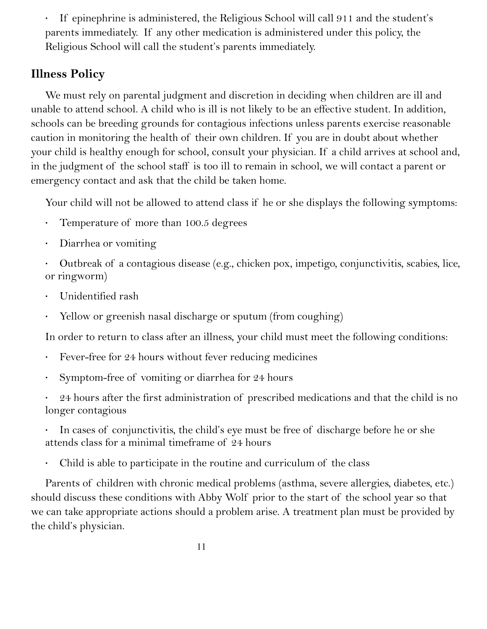· If epinephrine is administered, the Religious School will call 911 and the student's parents immediately. If any other medication is administered under this policy, the Religious School will call the student's parents immediately.

# **Illness Policy**

We must rely on parental judgment and discretion in deciding when children are ill and unable to attend school. A child who is ill is not likely to be an effective student. In addition, schools can be breeding grounds for contagious infections unless parents exercise reasonable caution in monitoring the health of their own children. If you are in doubt about whether your child is healthy enough for school, consult your physician. If a child arrives at school and, in the judgment of the school staff is too ill to remain in school, we will contact a parent or emergency contact and ask that the child be taken home.

Your child will not be allowed to attend class if he or she displays the following symptoms:

- · Temperature of more than 100.5 degrees
- · Diarrhea or vomiting
- · Outbreak of a contagious disease (e.g., chicken pox, impetigo, conjunctivitis, scabies, lice, or ringworm)
- Unidentified rash
- Yellow or greenish nasal discharge or sputum (from coughing)

In order to return to class after an illness, your child must meet the following conditions:

- · Fever-free for 24 hours without fever reducing medicines
- Symptom-free of vomiting or diarrhea for 24 hours

24 hours after the first administration of prescribed medications and that the child is no longer contagious

In cases of conjunctivitis, the child's eye must be free of discharge before he or she attends class for a minimal timeframe of 24 hours

Child is able to participate in the routine and curriculum of the class

Parents of children with chronic medical problems (asthma, severe allergies, diabetes, etc.) should discuss these conditions with Abby Wolf prior to the start of the school year so that we can take appropriate actions should a problem arise. A treatment plan must be provided by the child's physician.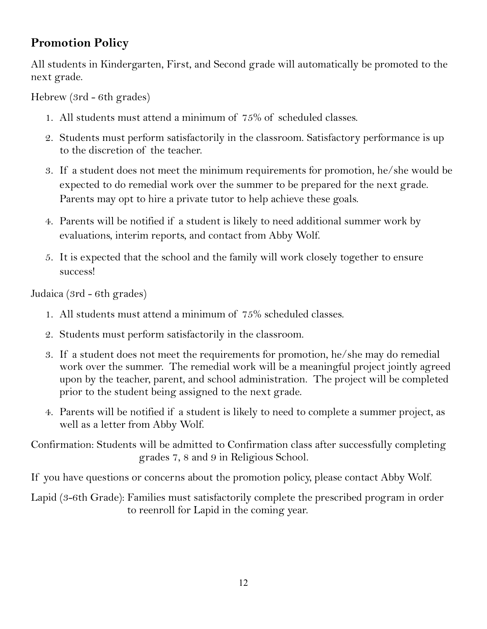# **Promotion Policy**

All students in Kindergarten, First, and Second grade will automatically be promoted to the next grade.

Hebrew (3rd - 6th grades)

- 1. All students must attend a minimum of 75% of scheduled classes.
- 2. Students must perform satisfactorily in the classroom. Satisfactory performance is up to the discretion of the teacher.
- 3. If a student does not meet the minimum requirements for promotion, he/she would be expected to do remedial work over the summer to be prepared for the next grade. Parents may opt to hire a private tutor to help achieve these goals.
- 4. Parents will be notified if a student is likely to need additional summer work by evaluations, interim reports, and contact from Abby Wolf.
- 5. It is expected that the school and the family will work closely together to ensure success!

Judaica (3rd - 6th grades)

- 1. All students must attend a minimum of 75% scheduled classes.
- 2. Students must perform satisfactorily in the classroom.
- 3. If a student does not meet the requirements for promotion, he/she may do remedial work over the summer. The remedial work will be a meaningful project jointly agreed upon by the teacher, parent, and school administration. The project will be completed prior to the student being assigned to the next grade.
- 4. Parents will be notified if a student is likely to need to complete a summer project, as well as a letter from Abby Wolf.

Confirmation: Students will be admitted to Confirmation class after successfully completing grades 7, 8 and 9 in Religious School.

If you have questions or concerns about the promotion policy, please contact Abby Wolf.

Lapid (3-6th Grade): Families must satisfactorily complete the prescribed program in order to reenroll for Lapid in the coming year.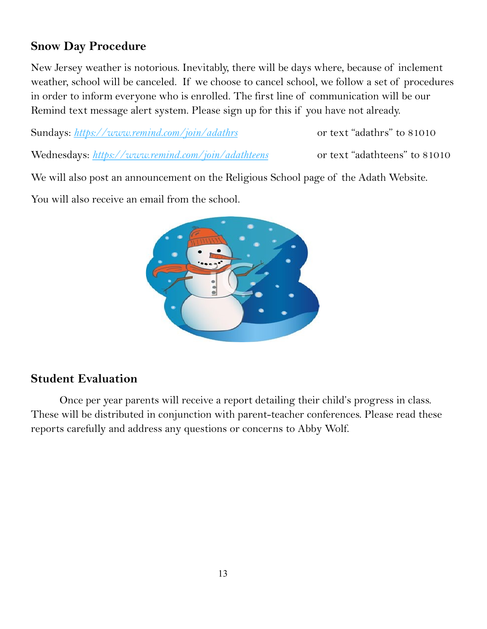## **Snow Day Procedure**

New Jersey weather is notorious. Inevitably, there will be days where, because of inclement weather, school will be canceled. If we choose to cancel school, we follow a set of procedures in order to inform everyone who is enrolled. The first line of communication will be our Remind text message alert system. Please sign up for this if you have not already.

Sundays: <https://www.remind.com/join/adathrs> or text "adathrs" to 81010

Wednesdays: <https://www.remind.com/join/adathteens> or text "adathteens" to 81010

We will also post an announcement on the Religious School page of the Adath Website.

You will also receive an email from the school.



# **Student Evaluation**

Once per year parents will receive a report detailing their child's progress in class. These will be distributed in conjunction with parent-teacher conferences. Please read these reports carefully and address any questions or concerns to Abby Wolf.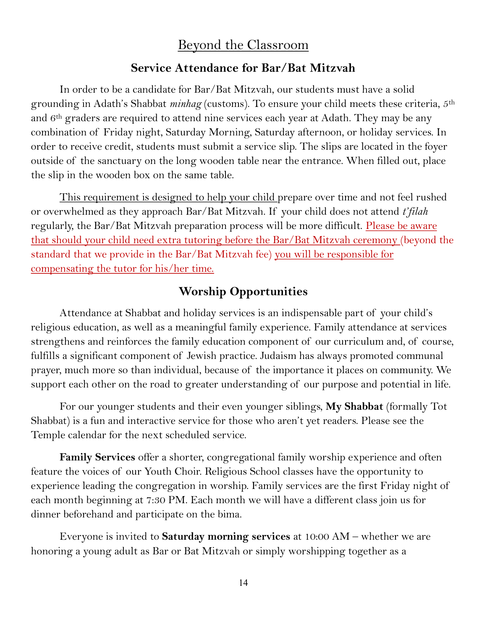## Beyond the Classroom

### **Service Attendance for Bar/Bat Mitzvah**

In order to be a candidate for Bar/Bat Mitzvah, our students must have a solid grounding in Adath's Shabbat *minhag* (customs). To ensure your child meets these criteria, 5th and 6th graders are required to attend nine services each year at Adath. They may be any combination of Friday night, Saturday Morning, Saturday afternoon, or holiday services. In order to receive credit, students must submit a service slip. The slips are located in the foyer outside of the sanctuary on the long wooden table near the entrance. When filled out, place the slip in the wooden box on the same table.

This requirement is designed to help your child prepare over time and not feel rushed or overwhelmed as they approach Bar/Bat Mitzvah. If your child does not attend *t'filah*  regularly, the Bar/Bat Mitzvah preparation process will be more difficult. Please be aware that should your child need extra tutoring before the Bar/Bat Mitzvah ceremony (beyond the standard that we provide in the Bar/Bat Mitzvah fee) you will be responsible for compensating the tutor for his/her time.

### **Worship Opportunities**

Attendance at Shabbat and holiday services is an indispensable part of your child's religious education, as well as a meaningful family experience. Family attendance at services strengthens and reinforces the family education component of our curriculum and, of course, fulfills a significant component of Jewish practice. Judaism has always promoted communal prayer, much more so than individual, because of the importance it places on community. We support each other on the road to greater understanding of our purpose and potential in life.

For our younger students and their even younger siblings, **My Shabbat** (formally Tot Shabbat) is a fun and interactive service for those who aren't yet readers. Please see the Temple calendar for the next scheduled service.

**Family Services** offer a shorter, congregational family worship experience and often feature the voices of our Youth Choir. Religious School classes have the opportunity to experience leading the congregation in worship. Family services are the first Friday night of each month beginning at 7:30 PM. Each month we will have a different class join us for dinner beforehand and participate on the bima.

Everyone is invited to **Saturday morning services** at 10:00 AM – whether we are honoring a young adult as Bar or Bat Mitzvah or simply worshipping together as a